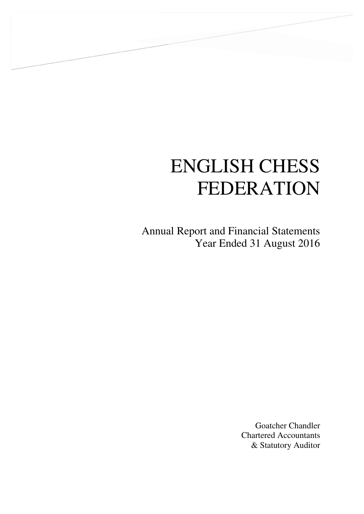# ENGLISH CHESS FEDERATION

Annual Report and Financial Statements Year Ended 31 August 2016

**Year Ended 31 August 2016** 

Goatcher Chandler Chartered Accountants & Statutory Auditor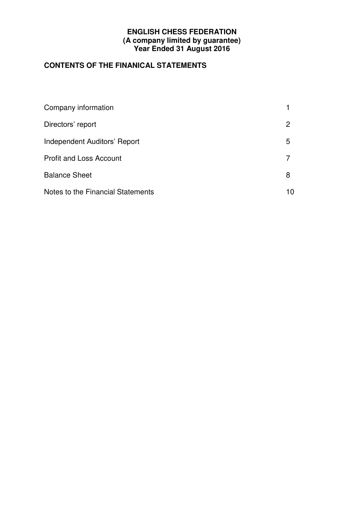# **CONTENTS OF THE FINANICAL STATEMENTS**

| Company information               |    |
|-----------------------------------|----|
| Directors' report                 | 2  |
| Independent Auditors' Report      | 5  |
| <b>Profit and Loss Account</b>    |    |
| <b>Balance Sheet</b>              | 8  |
| Notes to the Financial Statements | 10 |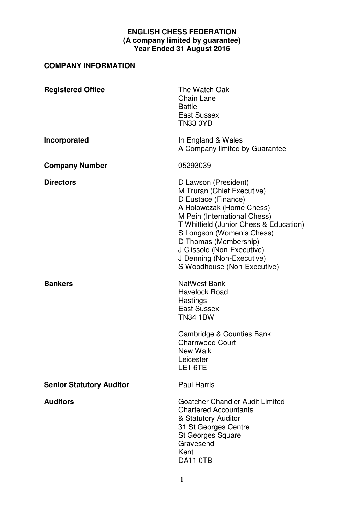# **COMPANY INFORMATION**

| <b>Registered Office</b>        | The Watch Oak<br>Chain Lane<br><b>Battle</b><br><b>East Sussex</b><br><b>TN33 0YD</b>                                                                                                                                                                                                                                           |  |
|---------------------------------|---------------------------------------------------------------------------------------------------------------------------------------------------------------------------------------------------------------------------------------------------------------------------------------------------------------------------------|--|
| Incorporated                    | In England & Wales<br>A Company limited by Guarantee                                                                                                                                                                                                                                                                            |  |
| <b>Company Number</b>           | 05293039                                                                                                                                                                                                                                                                                                                        |  |
| <b>Directors</b>                | D Lawson (President)<br>M Truran (Chief Executive)<br>D Eustace (Finance)<br>A Holowczak (Home Chess)<br>M Pein (International Chess)<br>T Whitfield (Junior Chess & Education)<br>S Longson (Women's Chess)<br>D Thomas (Membership)<br>J Clissold (Non-Executive)<br>J Denning (Non-Executive)<br>S Woodhouse (Non-Executive) |  |
| <b>Bankers</b>                  | NatWest Bank<br><b>Havelock Road</b><br>Hastings<br><b>East Sussex</b><br><b>TN34 1BW</b>                                                                                                                                                                                                                                       |  |
|                                 | Cambridge & Counties Bank<br><b>Charnwood Court</b><br><b>New Walk</b><br>Leicester<br>LE1 6TE                                                                                                                                                                                                                                  |  |
| <b>Senior Statutory Auditor</b> | <b>Paul Harris</b>                                                                                                                                                                                                                                                                                                              |  |
| <b>Auditors</b>                 | <b>Goatcher Chandler Audit Limited</b><br><b>Chartered Accountants</b><br>& Statutory Auditor<br>31 St Georges Centre<br><b>St Georges Square</b><br>Gravesend<br>Kent<br>DA11 0TB                                                                                                                                              |  |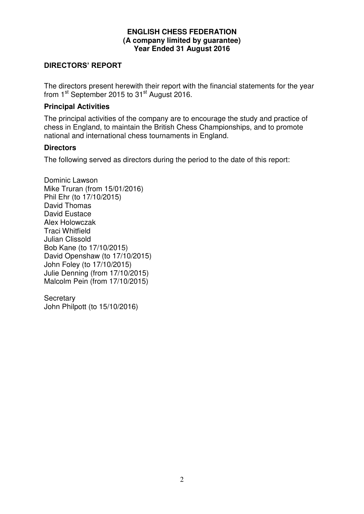## **DIRECTORS' REPORT**

The directors present herewith their report with the financial statements for the year from  $1<sup>st</sup>$  September 2015 to  $31<sup>st</sup>$  August 2016.

#### **Principal Activities**

The principal activities of the company are to encourage the study and practice of chess in England, to maintain the British Chess Championships, and to promote national and international chess tournaments in England.

#### **Directors**

The following served as directors during the period to the date of this report:

Dominic Lawson Mike Truran (from 15/01/2016) Phil Ehr (to 17/10/2015) David Thomas David Eustace Alex Holowczak Traci Whitfield Julian Clissold Bob Kane (to 17/10/2015) David Openshaw (to 17/10/2015) John Foley (to 17/10/2015) Julie Denning (from 17/10/2015) Malcolm Pein (from 17/10/2015)

**Secretary** John Philpott (to 15/10/2016)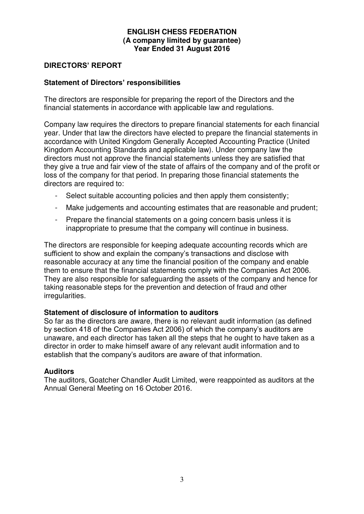## **DIRECTORS' REPORT**

#### **Statement of Directors' responsibilities**

The directors are responsible for preparing the report of the Directors and the financial statements in accordance with applicable law and regulations.

Company law requires the directors to prepare financial statements for each financial year. Under that law the directors have elected to prepare the financial statements in accordance with United Kingdom Generally Accepted Accounting Practice (United Kingdom Accounting Standards and applicable law). Under company law the directors must not approve the financial statements unless they are satisfied that they give a true and fair view of the state of affairs of the company and of the profit or loss of the company for that period. In preparing those financial statements the directors are required to:

- Select suitable accounting policies and then apply them consistently;
- Make judgements and accounting estimates that are reasonable and prudent;
- Prepare the financial statements on a going concern basis unless it is inappropriate to presume that the company will continue in business.

The directors are responsible for keeping adequate accounting records which are sufficient to show and explain the company's transactions and disclose with reasonable accuracy at any time the financial position of the company and enable them to ensure that the financial statements comply with the Companies Act 2006. They are also responsible for safeguarding the assets of the company and hence for taking reasonable steps for the prevention and detection of fraud and other irregularities.

#### **Statement of disclosure of information to auditors**

So far as the directors are aware, there is no relevant audit information (as defined by section 418 of the Companies Act 2006) of which the company's auditors are unaware, and each director has taken all the steps that he ought to have taken as a director in order to make himself aware of any relevant audit information and to establish that the company's auditors are aware of that information.

#### **Auditors**

The auditors, Goatcher Chandler Audit Limited, were reappointed as auditors at the Annual General Meeting on 16 October 2016.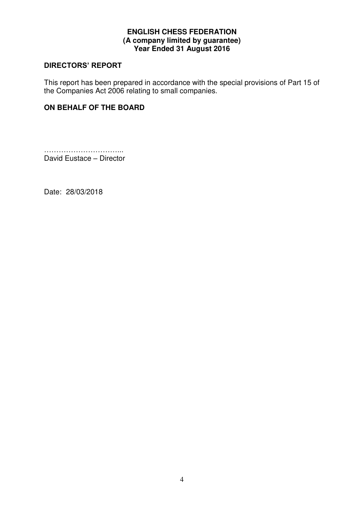# **DIRECTORS' REPORT**

This report has been prepared in accordance with the special provisions of Part 15 of the Companies Act 2006 relating to small companies.

# **ON BEHALF OF THE BOARD**

…………………………... David Eustace – Director

Date: 28/03/2018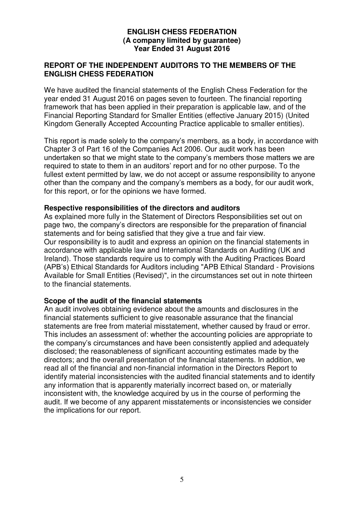#### **REPORT OF THE INDEPENDENT AUDITORS TO THE MEMBERS OF THE ENGLISH CHESS FEDERATION**

We have audited the financial statements of the English Chess Federation for the year ended 31 August 2016 on pages seven to fourteen. The financial reporting framework that has been applied in their preparation is applicable law, and of the Financial Reporting Standard for Smaller Entities (effective January 2015) (United Kingdom Generally Accepted Accounting Practice applicable to smaller entities).

This report is made solely to the company's members, as a body, in accordance with Chapter 3 of Part 16 of the Companies Act 2006. Our audit work has been undertaken so that we might state to the company's members those matters we are required to state to them in an auditors' report and for no other purpose. To the fullest extent permitted by law, we do not accept or assume responsibility to anyone other than the company and the company's members as a body, for our audit work, for this report, or for the opinions we have formed.

#### **Respective responsibilities of the directors and auditors**

As explained more fully in the Statement of Directors Responsibilities set out on page two, the company's directors are responsible for the preparation of financial statements and for being satisfied that they give a true and fair view. Our responsibility is to audit and express an opinion on the financial statements in accordance with applicable law and International Standards on Auditing (UK and Ireland). Those standards require us to comply with the Auditing Practices Board (APB's) Ethical Standards for Auditors including "APB Ethical Standard - Provisions Available for Small Entities (Revised)", in the circumstances set out in note thirteen to the financial statements.

#### **Scope of the audit of the financial statements**

An audit involves obtaining evidence about the amounts and disclosures in the financial statements sufficient to give reasonable assurance that the financial statements are free from material misstatement, whether caused by fraud or error. This includes an assessment of: whether the accounting policies are appropriate to the company's circumstances and have been consistently applied and adequately disclosed; the reasonableness of significant accounting estimates made by the directors; and the overall presentation of the financial statements. In addition, we read all of the financial and non-financial information in the Directors Report to identify material inconsistencies with the audited financial statements and to identify any information that is apparently materially incorrect based on, or materially inconsistent with, the knowledge acquired by us in the course of performing the audit. If we become of any apparent misstatements or inconsistencies we consider the implications for our report.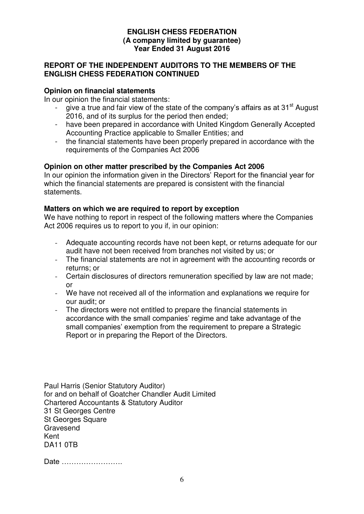#### **REPORT OF THE INDEPENDENT AUDITORS TO THE MEMBERS OF THE ENGLISH CHESS FEDERATION CONTINUED**

#### **Opinion on financial statements**

In our opinion the financial statements:

- give a true and fair view of the state of the company's affairs as at  $31<sup>st</sup>$  August 2016, and of its surplus for the period then ended;
- have been prepared in accordance with United Kingdom Generally Accepted Accounting Practice applicable to Smaller Entities; and
- the financial statements have been properly prepared in accordance with the requirements of the Companies Act 2006

#### **Opinion on other matter prescribed by the Companies Act 2006**

In our opinion the information given in the Directors' Report for the financial year for which the financial statements are prepared is consistent with the financial statements.

#### **Matters on which we are required to report by exception**

We have nothing to report in respect of the following matters where the Companies Act 2006 requires us to report to you if, in our opinion:

- Adequate accounting records have not been kept, or returns adequate for our audit have not been received from branches not visited by us; or
- The financial statements are not in agreement with the accounting records or returns; or
- Certain disclosures of directors remuneration specified by law are not made; or
- We have not received all of the information and explanations we require for our audit; or
- The directors were not entitled to prepare the financial statements in accordance with the small companies' regime and take advantage of the small companies' exemption from the requirement to prepare a Strategic Report or in preparing the Report of the Directors.

Paul Harris (Senior Statutory Auditor) for and on behalf of Goatcher Chandler Audit Limited Chartered Accountants & Statutory Auditor 31 St Georges Centre St Georges Square Gravesend Kent DA11 0TB

Date …………………….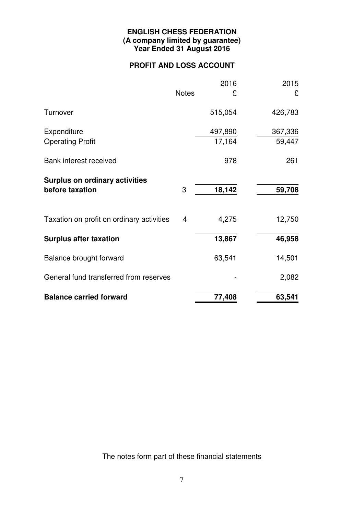# **PROFIT AND LOSS ACCOUNT**

|                                                          | <b>Notes</b> | 2016<br>£         | 2015<br>£         |
|----------------------------------------------------------|--------------|-------------------|-------------------|
| Turnover                                                 |              | 515,054           | 426,783           |
| Expenditure<br><b>Operating Profit</b>                   |              | 497,890<br>17,164 | 367,336<br>59,447 |
| Bank interest received                                   |              | 978               | 261               |
| <b>Surplus on ordinary activities</b><br>before taxation | 3            | 18,142            | 59,708            |
| Taxation on profit on ordinary activities                | 4            | 4,275             | 12,750            |
| <b>Surplus after taxation</b>                            |              | 13,867            | 46,958            |
| Balance brought forward                                  |              | 63,541            | 14,501            |
| General fund transferred from reserves                   |              |                   | 2,082             |
| <b>Balance carried forward</b>                           |              | 77,408            | 63,541            |

The notes form part of these financial statements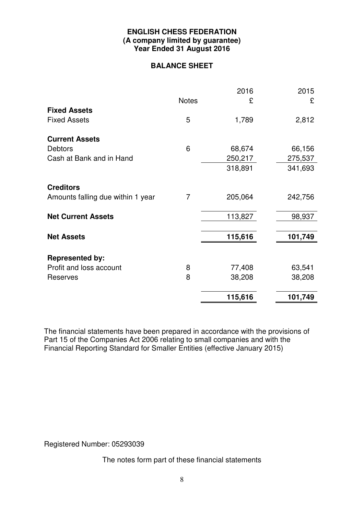#### **BALANCE SHEET**

|                                            | <b>Notes</b> | 2016<br>£ | 2015<br>£ |
|--------------------------------------------|--------------|-----------|-----------|
| <b>Fixed Assets</b><br><b>Fixed Assets</b> | 5            | 1,789     | 2,812     |
| <b>Current Assets</b>                      |              |           |           |
| <b>Debtors</b>                             | 6            | 68,674    | 66,156    |
| Cash at Bank and in Hand                   |              | 250,217   | 275,537   |
|                                            |              | 318,891   | 341,693   |
| <b>Creditors</b>                           |              |           |           |
| Amounts falling due within 1 year          | 7            | 205,064   | 242,756   |
| <b>Net Current Assets</b>                  |              | 113,827   | 98,937    |
| <b>Net Assets</b>                          |              | 115,616   | 101,749   |
|                                            |              |           |           |
| <b>Represented by:</b>                     |              |           |           |
| Profit and loss account                    | 8            | 77,408    | 63,541    |
| <b>Reserves</b>                            | 8            | 38,208    | 38,208    |
|                                            |              | 115,616   | 101,749   |

The financial statements have been prepared in accordance with the provisions of Part 15 of the Companies Act 2006 relating to small companies and with the Financial Reporting Standard for Smaller Entities (effective January 2015)

Registered Number: 05293039

The notes form part of these financial statements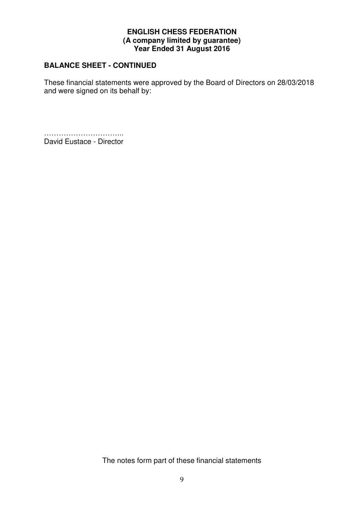# **BALANCE SHEET - CONTINUED**

These financial statements were approved by the Board of Directors on 28/03/2018 and were signed on its behalf by:

……………………………………… David Eustace - Director

The notes form part of these financial statements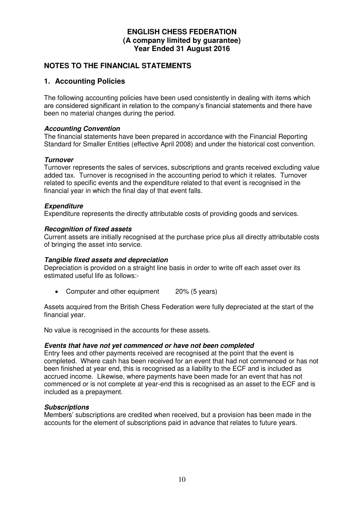#### **NOTES TO THE FINANCIAL STATEMENTS**

#### **1. Accounting Policies**

The following accounting policies have been used consistently in dealing with items which are considered significant in relation to the company's financial statements and there have been no material changes during the period.

#### *Accounting Convention*

The financial statements have been prepared in accordance with the Financial Reporting Standard for Smaller Entities (effective April 2008) and under the historical cost convention.

#### *Turnover*

Turnover represents the sales of services, subscriptions and grants received excluding value added tax. Turnover is recognised in the accounting period to which it relates. Turnover related to specific events and the expenditure related to that event is recognised in the financial year in which the final day of that event falls.

#### *Expenditure*

Expenditure represents the directly attributable costs of providing goods and services.

#### *Recognition of fixed assets*

Current assets are initially recognised at the purchase price plus all directly attributable costs of bringing the asset into service.

#### *Tangible fixed assets and depreciation*

Depreciation is provided on a straight line basis in order to write off each asset over its estimated useful life as follows:-

• Computer and other equipment 20% (5 years)

Assets acquired from the British Chess Federation were fully depreciated at the start of the financial year.

No value is recognised in the accounts for these assets.

#### *Events that have not yet commenced or have not been completed*

Entry fees and other payments received are recognised at the point that the event is completed. Where cash has been received for an event that had not commenced or has not been finished at year end, this is recognised as a liability to the ECF and is included as accrued income. Likewise, where payments have been made for an event that has not commenced or is not complete at year-end this is recognised as an asset to the ECF and is included as a prepayment.

#### *Subscriptions*

Members' subscriptions are credited when received, but a provision has been made in the accounts for the element of subscriptions paid in advance that relates to future years.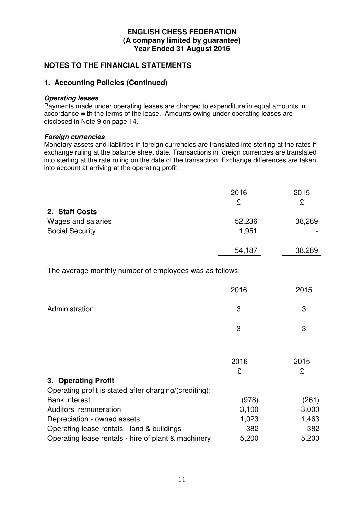## **NOTES TO THE FINANCIAL STATEMENTS**

#### **1. Accounting Policies (Continued)**

#### *Operating leases*

Payments made under operating leases are charged to expenditure in equal amounts in accordance with the terms of the lease. Amounts owing under operating leases are disclosed in Note 9 on page 14.

#### *Foreign currencies*

Monetary assets and liabilities in foreign currencies are translated into sterling at the rates if exchange ruling at the balance sheet date. Transactions in foreign currencies are translated into sterling at the rate ruling on the date of the transaction. Exchange differences are taken into account at arriving at the operating profit.

|                        | 2016   | 2015   |
|------------------------|--------|--------|
|                        | £      | £      |
| 2. Staff Costs         |        |        |
| Wages and salaries     | 52,236 | 38,289 |
| <b>Social Security</b> | 1,951  |        |
|                        |        |        |
|                        | 54,187 | 38,289 |

The average monthly number of employees was as follows:

|                                                                                | 2016  | 2015  |
|--------------------------------------------------------------------------------|-------|-------|
| Administration                                                                 | 3     | 3     |
|                                                                                | 3     | 3     |
|                                                                                | 2016  | 2015  |
|                                                                                | £     | £     |
| 3. Operating Profit                                                            |       |       |
| Operating profit is stated after charging/(crediting):<br><b>Bank interest</b> | (978) | (261) |
| Auditors' remuneration                                                         | 3,100 | 3,000 |
| Depreciation - owned assets                                                    | 1,023 | 1,463 |
|                                                                                |       |       |
| Operating lease rentals - land & buildings                                     | 382   | 382   |
| Operating lease rentals - hire of plant & machinery                            | 5,200 | 5,200 |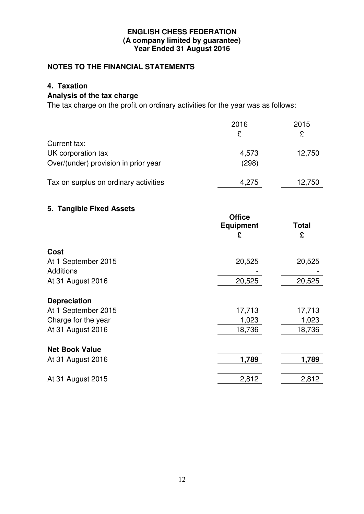# **NOTES TO THE FINANCIAL STATEMENTS**

# **4. Taxation**

## **Analysis of the tax charge**

The tax charge on the profit on ordinary activities for the year was as follows:

| 2016  | 2015   |
|-------|--------|
| £     | £      |
|       |        |
| 4,573 | 12,750 |
| (298) |        |
| 4,275 | 12,750 |
|       |        |

# **5. Tangible Fixed Assets**

|                                         | <b>Office</b><br><b>Equipment</b><br>£ | <b>Total</b><br>£ |
|-----------------------------------------|----------------------------------------|-------------------|
| <b>Cost</b>                             |                                        |                   |
| At 1 September 2015<br><b>Additions</b> | 20,525                                 | 20,525            |
| At 31 August 2016                       | 20,525                                 | 20,525            |
| <b>Depreciation</b>                     |                                        |                   |
| At 1 September 2015                     | 17,713                                 | 17,713            |
| Charge for the year                     | 1,023                                  | 1,023             |
| At 31 August 2016                       | 18,736                                 | 18,736            |
| <b>Net Book Value</b>                   |                                        |                   |
| At 31 August 2016                       | 1,789                                  | 1,789             |
| At 31 August 2015                       | 2,812                                  | 2,812             |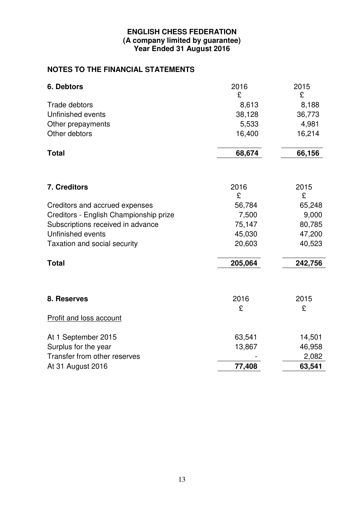# **NOTES TO THE FINANCIAL STATEMENTS**

| 6. Debtors                             | 2016    | 2015    |
|----------------------------------------|---------|---------|
|                                        | £       | £       |
| Trade debtors                          | 8,613   | 8,188   |
| Unfinished events                      | 38,128  | 36,773  |
| Other prepayments                      | 5,533   | 4,981   |
| Other debtors                          | 16,400  | 16,214  |
| <b>Total</b>                           | 68,674  | 66,156  |
|                                        |         |         |
| 7. Creditors                           | 2016    | 2015    |
|                                        | £       | £       |
| Creditors and accrued expenses         | 56,784  | 65,248  |
| Creditors - English Championship prize | 7,500   | 9,000   |
| Subscriptions received in advance      | 75,147  | 80,785  |
| Unfinished events                      | 45,030  | 47,200  |
| Taxation and social security           | 20,603  | 40,523  |
| <b>Total</b>                           | 205,064 | 242,756 |
| 8. Reserves                            | 2016    | 2015    |
|                                        | £       | £       |
| <b>Profit and loss account</b>         |         |         |
| At 1 September 2015                    | 63,541  | 14,501  |
| Surplus for the year                   | 13,867  | 46,958  |
| Transfer from other reserves           |         | 2,082   |
| At 31 August 2016                      | 77,408  | 63,541  |